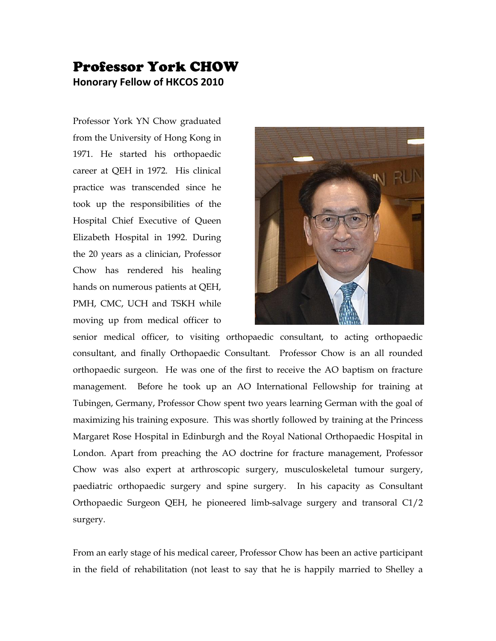## Professor York CHOW **Honorary Fellow of HKCOS 2010**

Professor York YN Chow graduated from the University of Hong Kong in 1971. He started his orthopaedic career at QEH in 1972. His clinical practice was transcended since he took up the responsibilities of the Hospital Chief Executive of Queen Elizabeth Hospital in 1992. During the 20 years as a clinician, Professor Chow has rendered his healing hands on numerous patients at QEH, PMH, CMC, UCH and TSKH while moving up from medical officer to



senior medical officer, to visiting orthopaedic consultant, to acting orthopaedic consultant, and finally Orthopaedic Consultant. Professor Chow is an all rounded orthopaedic surgeon. He was one of the first to receive the AO baptism on fracture management. Before he took up an AO International Fellowship for training at Tubingen, Germany, Professor Chow spent two years learning German with the goal of maximizing his training exposure. This was shortly followed by training at the Princess Margaret Rose Hospital in Edinburgh and the Royal National Orthopaedic Hospital in London. Apart from preaching the AO doctrine for fracture management, Professor Chow was also expert at arthroscopic surgery, musculoskeletal tumour surgery, paediatric orthopaedic surgery and spine surgery. In his capacity as Consultant Orthopaedic Surgeon QEH, he pioneered limb-salvage surgery and transoral C1/2 surgery.

From an early stage of his medical career, Professor Chow has been an active participant in the field of rehabilitation (not least to say that he is happily married to Shelley a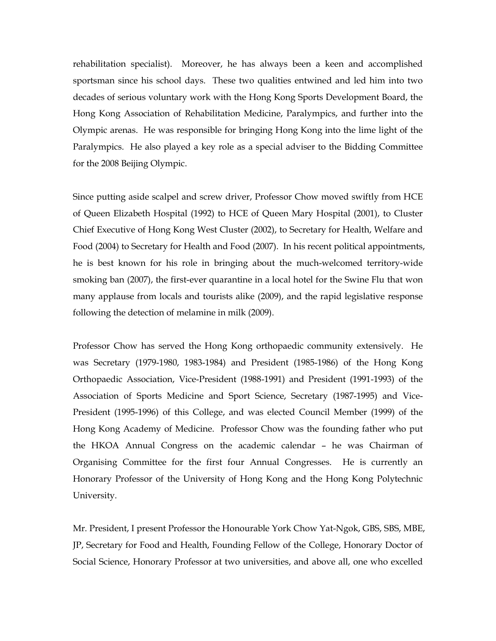rehabilitation specialist). Moreover, he has always been a keen and accomplished sportsman since his school days. These two qualities entwined and led him into two decades of serious voluntary work with the Hong Kong Sports Development Board, the Hong Kong Association of Rehabilitation Medicine, Paralympics, and further into the Olympic arenas. He was responsible for bringing Hong Kong into the lime light of the Paralympics. He also played a key role as a special adviser to the Bidding Committee for the 2008 Beijing Olympic.

Since putting aside scalpel and screw driver, Professor Chow moved swiftly from HCE of Queen Elizabeth Hospital (1992) to HCE of Queen Mary Hospital (2001), to Cluster Chief Executive of Hong Kong West Cluster (2002), to Secretary for Health, Welfare and Food (2004) to Secretary for Health and Food (2007). In his recent political appointments, he is best known for his role in bringing about the much-welcomed territory-wide smoking ban (2007), the first-ever quarantine in a local hotel for the Swine Flu that won many applause from locals and tourists alike (2009), and the rapid legislative response following the detection of melamine in milk (2009).

Professor Chow has served the Hong Kong orthopaedic community extensively. He was Secretary (1979-1980, 1983-1984) and President (1985-1986) of the Hong Kong Orthopaedic Association, Vice-President (1988-1991) and President (1991-1993) of the Association of Sports Medicine and Sport Science, Secretary (1987-1995) and Vice-President (1995-1996) of this College, and was elected Council Member (1999) of the Hong Kong Academy of Medicine. Professor Chow was the founding father who put the HKOA Annual Congress on the academic calendar – he was Chairman of Organising Committee for the first four Annual Congresses. He is currently an Honorary Professor of the University of Hong Kong and the Hong Kong Polytechnic University.

Mr. President, I present Professor the Honourable York Chow Yat-Ngok, GBS, SBS, MBE, JP, Secretary for Food and Health, Founding Fellow of the College, Honorary Doctor of Social Science, Honorary Professor at two universities, and above all, one who excelled